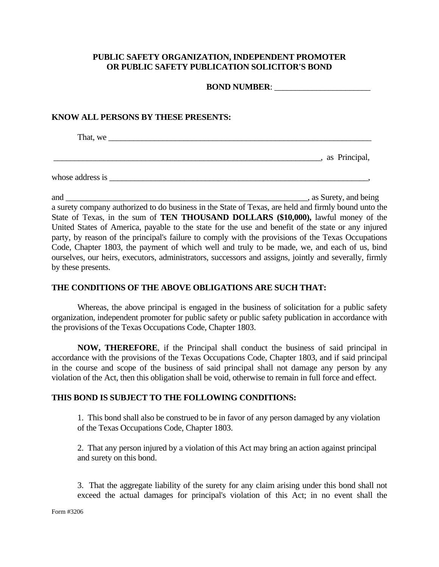## **PUBLIC SAFETY ORGANIZATION, INDEPENDENT PROMOTER OR PUBLIC SAFETY PUBLICATION SOLICITOR'S BOND**

**BOND NUMBER:** 

## **KNOW ALL PERSONS BY THESE PRESENTS:**

That, we \_\_\_\_\_\_\_\_\_\_\_\_\_\_\_\_\_\_\_\_\_\_\_\_\_\_\_\_\_\_\_\_\_\_\_\_\_\_\_\_\_\_\_\_\_\_\_\_\_\_\_\_\_\_\_\_\_\_\_\_\_\_\_

 $\blacksquare$ , as Principal,

whose address is \_\_\_\_\_\_\_\_\_\_\_\_\_\_\_\_\_\_\_\_\_\_\_\_\_\_\_\_\_\_\_\_\_\_\_\_\_\_\_\_\_\_\_\_\_\_\_\_\_\_\_\_\_\_\_\_\_\_\_\_\_\_,

and \_\_\_\_\_\_\_\_\_\_\_\_\_\_\_\_\_\_\_\_\_\_\_\_\_\_\_\_\_\_\_\_\_\_\_\_\_\_\_\_\_\_\_\_\_\_\_\_\_\_\_\_\_\_\_\_\_\_, as Surety, and being

a surety company authorized to do business in the State of Texas, are held and firmly bound unto the State of Texas, in the sum of **TEN THOUSAND DOLLARS (\$10,000),** lawful money of the United States of America, payable to the state for the use and benefit of the state or any injured party, by reason of the principal's failure to comply with the provisions of the Texas Occupations Code, Chapter 1803, the payment of which well and truly to be made, we, and each of us, bind ourselves, our heirs, executors, administrators, successors and assigns, jointly and severally, firmly by these presents.

## **THE CONDITIONS OF THE ABOVE OBLIGATIONS ARE SUCH THAT:**

Whereas, the above principal is engaged in the business of solicitation for a public safety organization, independent promoter for public safety or public safety publication in accordance with the provisions of the Texas Occupations Code, Chapter 1803.

**NOW, THEREFORE**, if the Principal shall conduct the business of said principal in accordance with the provisions of the Texas Occupations Code, Chapter 1803, and if said principal in the course and scope of the business of said principal shall not damage any person by any violation of the Act, then this obligation shall be void, otherwise to remain in full force and effect.

## **THIS BOND IS SUBJECT TO THE FOLLOWING CONDITIONS:**

1. This bond shall also be construed to be in favor of any person damaged by any violation of the Texas Occupations Code, Chapter 1803.

2. That any person injured by a violation of this Act may bring an action against principal and surety on this bond.

3. That the aggregate liability of the surety for any claim arising under this bond shall not exceed the actual damages for principal's violation of this Act; in no event shall the